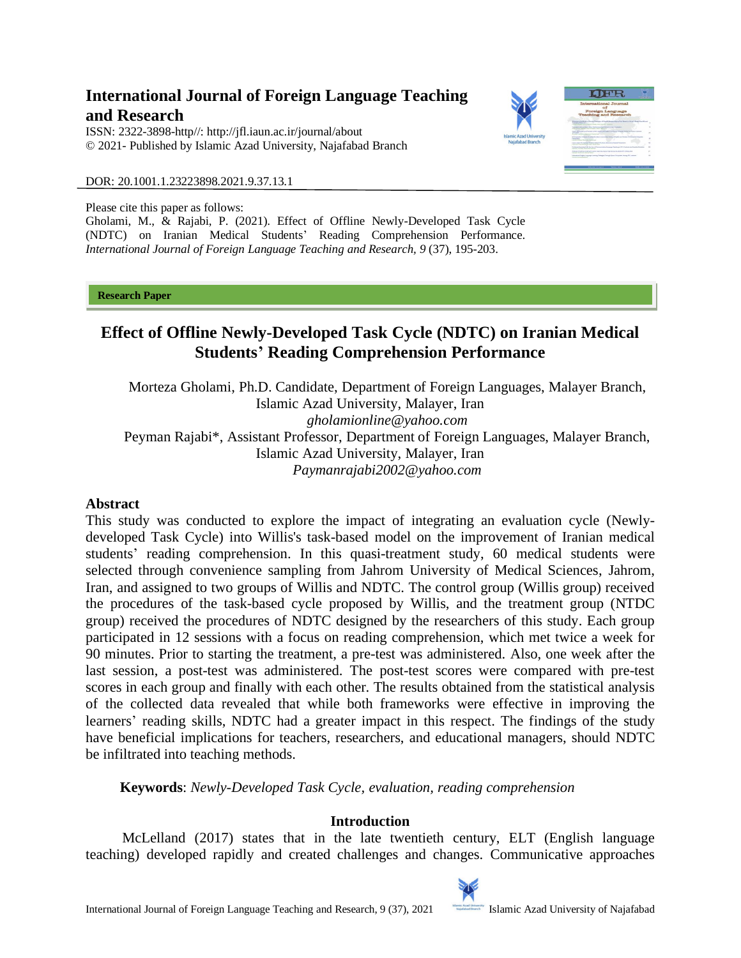# **International Journal of Foreign Language Teaching and Research**

ISSN: 2322-3898-http//: [http://jfl.iaun.ac.ir/j](http://jfl.iaun.ac.ir/)ournal/about © 2021- Published by Islamic Azad University, Najafabad Branch



DOR: 20.1001.1.23223898.2021.9.37.13.1

Please cite this paper as follows:

Gholami, M., & Rajabi, P. (2021). Effect of Offline Newly-Developed Task Cycle (NDTC) on Iranian Medical Students' Reading Comprehension Performance. *International Journal of Foreign Language Teaching and Research, 9* (37), 195-203.

#### **Research Paper**

# **Effect of Offline Newly-Developed Task Cycle (NDTC) on Iranian Medical Students' Reading Comprehension Performance**

Morteza Gholami, Ph.D. Candidate, Department of Foreign Languages, Malayer Branch, Islamic Azad University, Malayer, Iran *[gholamionline@yahoo.com](mailto:gholamionline@yahoo.com)* Peyman Rajabi\*, Assistant Professor, Department of Foreign Languages, Malayer Branch, Islamic Azad University, Malayer, Iran *[Paymanrajabi2002@yahoo.com](mailto:Paymanrajabi2002@yahoo.com)*

#### **Abstract**

This study was conducted to explore the impact of integrating an evaluation cycle (Newlydeveloped Task Cycle) into Willis's task-based model on the improvement of Iranian medical students' reading comprehension. In this quasi-treatment study, 60 medical students were selected through convenience sampling from Jahrom University of Medical Sciences, Jahrom, Iran, and assigned to two groups of Willis and NDTC. The control group (Willis group) received the procedures of the task-based cycle proposed by Willis, and the treatment group (NTDC group) received the procedures of NDTC designed by the researchers of this study. Each group participated in 12 sessions with a focus on reading comprehension, which met twice a week for 90 minutes. Prior to starting the treatment, a pre-test was administered. Also, one week after the last session, a post-test was administered. The post-test scores were compared with pre-test scores in each group and finally with each other. The results obtained from the statistical analysis of the collected data revealed that while both frameworks were effective in improving the learners' reading skills, NDTC had a greater impact in this respect. The findings of the study have beneficial implications for teachers, researchers, and educational managers, should NDTC be infiltrated into teaching methods.

**Keywords**: *Newly-Developed Task Cycle, evaluation, reading comprehension*

## **Introduction**

 McLelland (2017) states that in the late twentieth century, ELT (English language teaching) developed rapidly and created challenges and changes. Communicative approaches

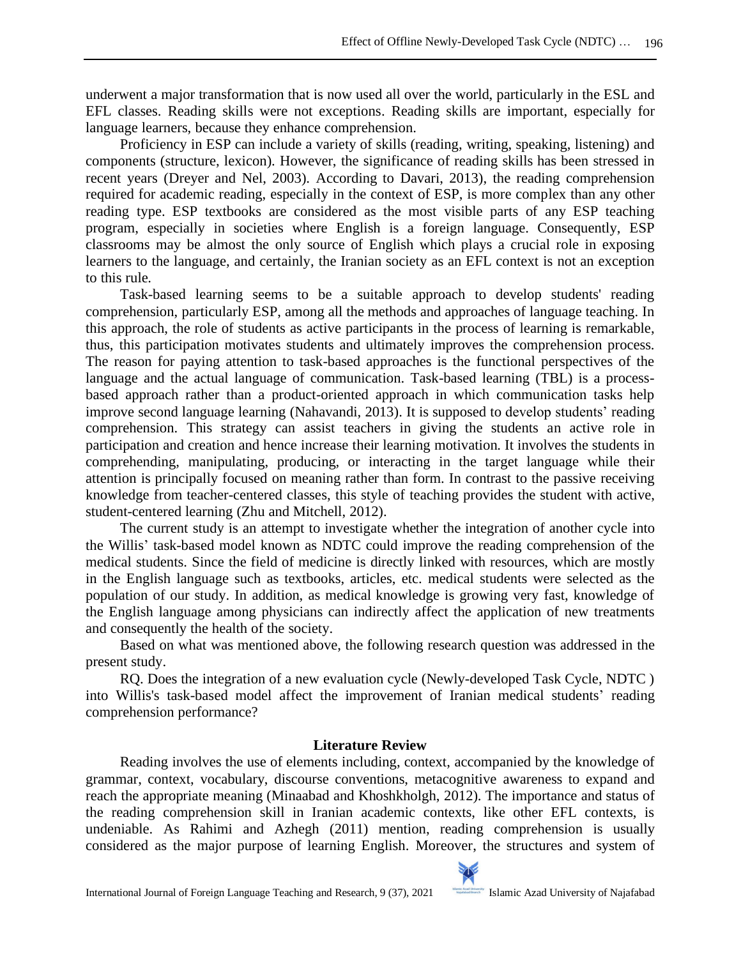underwent a major transformation that is now used all over the world, particularly in the ESL and EFL classes. Reading skills were not exceptions. Reading skills are important, especially for language learners, because they enhance comprehension.

Proficiency in ESP can include a variety of skills (reading, writing, speaking, listening) and components (structure, lexicon). However, the significance of reading skills has been stressed in recent years (Dreyer and Nel, 2003). According to Davari, 2013), the reading comprehension required for academic reading, especially in the context of ESP, is more complex than any other reading type. ESP textbooks are considered as the most visible parts of any ESP teaching program, especially in societies where English is a foreign language. Consequently, ESP classrooms may be almost the only source of English which plays a crucial role in exposing learners to the language, and certainly, the Iranian society as an EFL context is not an exception to this rule.

Task-based learning seems to be a suitable approach to develop students' reading comprehension, particularly ESP, among all the methods and approaches of language teaching. In this approach, the role of students as active participants in the process of learning is remarkable, thus, this participation motivates students and ultimately improves the comprehension process. The reason for paying attention to task-based approaches is the functional perspectives of the language and the actual language of communication. Task-based learning (TBL) is a processbased approach rather than a product-oriented approach in which communication tasks help improve second language learning (Nahavandi, 2013). It is supposed to develop students' reading comprehension. This strategy can assist teachers in giving the students an active role in participation and creation and hence increase their learning motivation. It involves the students in comprehending, manipulating, producing, or interacting in the target language while their attention is principally focused on meaning rather than form. In contrast to the passive receiving knowledge from teacher-centered classes, this style of teaching provides the student with active, student-centered learning (Zhu and Mitchell, 2012).

The current study is an attempt to investigate whether the integration of another cycle into the Willis' task-based model known as NDTC could improve the reading comprehension of the medical students. Since the field of medicine is directly linked with resources, which are mostly in the English language such as textbooks, articles, etc. medical students were selected as the population of our study. In addition, as medical knowledge is growing very fast, knowledge of the English language among physicians can indirectly affect the application of new treatments and consequently the health of the society.

Based on what was mentioned above, the following research question was addressed in the present study.

RQ. Does the integration of a new evaluation cycle (Newly-developed Task Cycle, NDTC ) into Willis's task-based model affect the improvement of Iranian medical students' reading comprehension performance?

## **Literature Review**

Reading involves the use of elements including, context, accompanied by the knowledge of grammar, context, vocabulary, discourse conventions, metacognitive awareness to expand and reach the appropriate meaning (Minaabad and Khoshkholgh, 2012). The importance and status of the reading comprehension skill in Iranian academic contexts, like other EFL contexts, is undeniable. As Rahimi and Azhegh (2011) mention, reading comprehension is usually considered as the major purpose of learning English. Moreover, the structures and system of

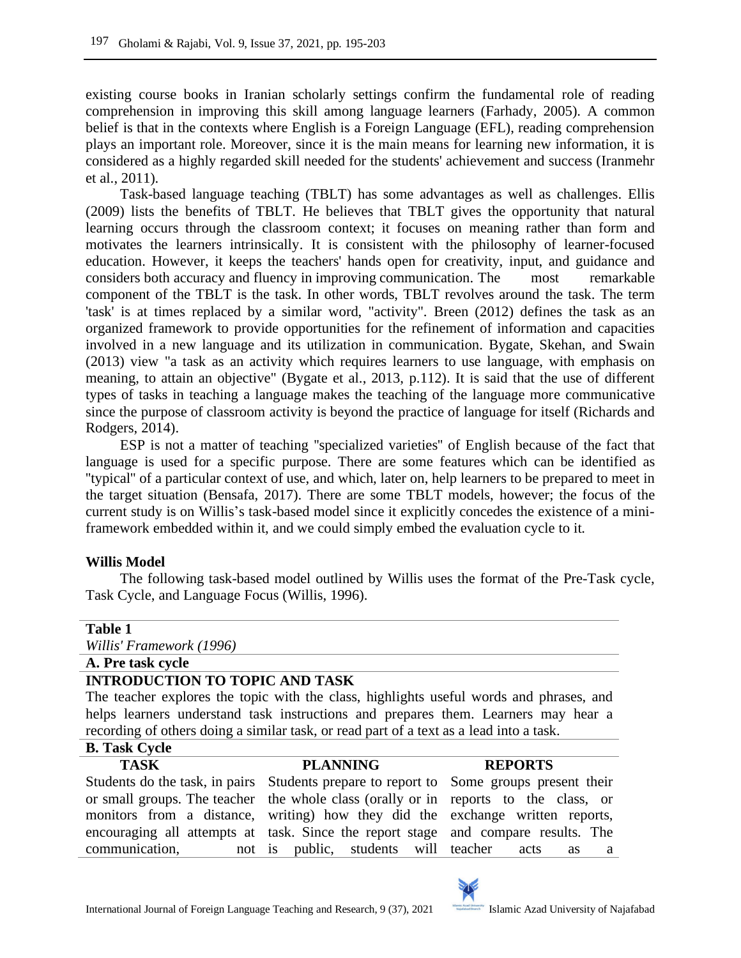existing course books in Iranian scholarly settings confirm the fundamental role of reading comprehension in improving this skill among language learners (Farhady, 2005). A common belief is that in the contexts where English is a Foreign Language (EFL), reading comprehension plays an important role. Moreover, since it is the main means for learning new information, it is considered as a highly regarded skill needed for the students' achievement and success (Iranmehr et al., 2011).

Task-based language teaching (TBLT) has some advantages as well as challenges. Ellis (2009) lists the benefits of TBLT. He believes that TBLT gives the opportunity that natural learning occurs through the classroom context; it focuses on meaning rather than form and motivates the learners intrinsically. It is consistent with the philosophy of learner-focused education. However, it keeps the teachers' hands open for creativity, input, and guidance and considers both accuracy and fluency in improving communication. The most remarkable component of the TBLT is the task. In other words, TBLT revolves around the task. The term 'task' is at times replaced by a similar word, "activity". Breen (2012) defines the task as an organized framework to provide opportunities for the refinement of information and capacities involved in a new language and its utilization in communication. Bygate, Skehan, and Swain (2013) view "a task as an activity which requires learners to use language, with emphasis on meaning, to attain an objective" (Bygate et al., 2013, p.112). It is said that the use of different types of tasks in teaching a language makes the teaching of the language more communicative since the purpose of classroom activity is beyond the practice of language for itself (Richards and Rodgers, 2014).

ESP is not a matter of teaching ''specialized varieties'' of English because of the fact that language is used for a specific purpose. There are some features which can be identified as ''typical'' of a particular context of use, and which, later on, help learners to be prepared to meet in the target situation (Bensafa, 2017). There are some TBLT models, however; the focus of the current study is on Willis's task-based model since it explicitly concedes the existence of a miniframework embedded within it, and we could simply embed the evaluation cycle to it.

## **Willis Model**

The following task-based model outlined by Willis uses the format of the Pre-Task cycle, Task Cycle, and Language Focus (Willis, 1996).

## **Table 1** *Willis' Framework (1996)* **A. Pre task cycle INTRODUCTION TO TOPIC AND TASK** The teacher explores the topic with the class, highlights useful words and phrases, and helps learners understand task instructions and prepares them. Learners may hear a recording of others doing a similar task, or read part of a text as a lead into a task.

# **B. Task Cycle**

#### **TASK**

#### **PLANNING**

#### **REPORTS**

|                | Students do the task, in pairs Students prepare to report to Some groups present their |   |  |  |  |
|----------------|----------------------------------------------------------------------------------------|---|--|--|--|
|                | or small groups. The teacher the whole class (orally or in reports to the class, or    |   |  |  |  |
|                | monitors from a distance, writing how they did the exchange written reports,           |   |  |  |  |
|                | encouraging all attempts at task. Since the report stage and compare results. The      |   |  |  |  |
| communication, | not is public, students will teacher acts as                                           | а |  |  |  |

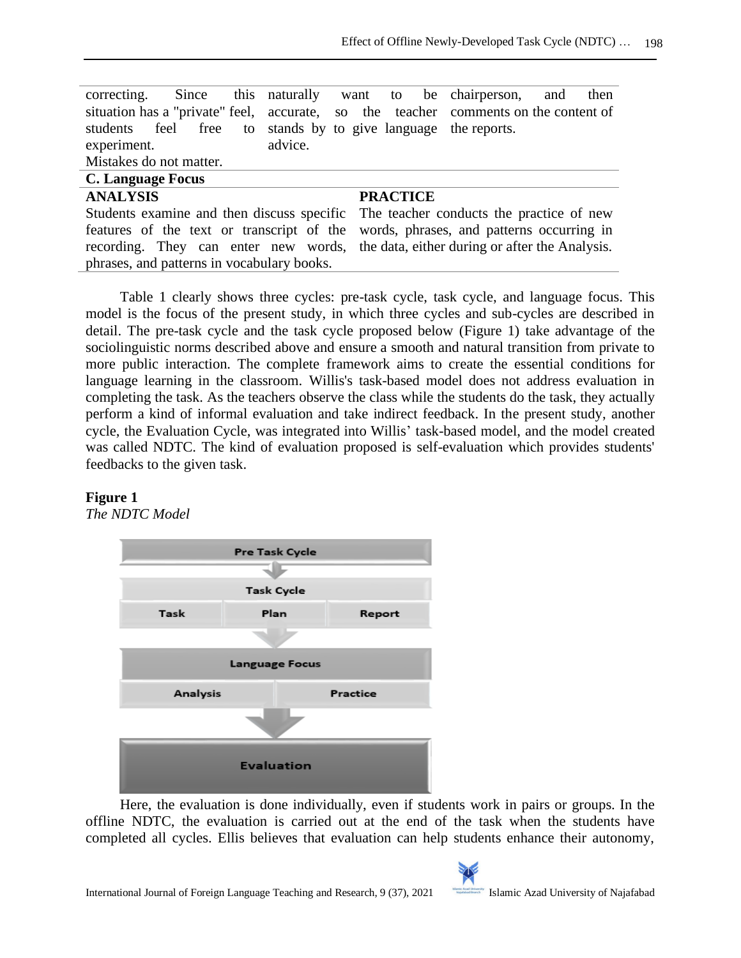|                                                               |  |         |                 | correcting. Since this naturally want to be chairperson, and then                   |  |
|---------------------------------------------------------------|--|---------|-----------------|-------------------------------------------------------------------------------------|--|
|                                                               |  |         |                 | situation has a "private" feel, accurate, so the teacher comments on the content of |  |
| students feel free to stands by to give language the reports. |  |         |                 |                                                                                     |  |
| experiment.                                                   |  | advice. |                 |                                                                                     |  |
| Mistakes do not matter.                                       |  |         |                 |                                                                                     |  |
| C. Language Focus                                             |  |         |                 |                                                                                     |  |
| <b>ANALYSIS</b>                                               |  |         | <b>PRACTICE</b> |                                                                                     |  |

| Students examine and then discuss specific The teacher conducts the practice of new |  |
|-------------------------------------------------------------------------------------|--|
| features of the text or transcript of the words, phrases, and patterns occurring in |  |
| recording. They can enter new words, the data, either during or after the Analysis. |  |
| phrases, and patterns in vocabulary books.                                          |  |

Table 1 clearly shows three cycles: pre-task cycle, task cycle, and language focus. This model is the focus of the present study, in which three cycles and sub-cycles are described in detail. The pre-task cycle and the task cycle proposed below (Figure 1) take advantage of the sociolinguistic norms described above and ensure a smooth and natural transition from private to more public interaction. The complete framework aims to create the essential conditions for language learning in the classroom. Willis's task-based model does not address evaluation in completing the task. As the teachers observe the class while the students do the task, they actually perform a kind of informal evaluation and take indirect feedback. In the present study, another cycle, the Evaluation Cycle, was integrated into Willis' task-based model, and the model created was called NDTC. The kind of evaluation proposed is self-evaluation which provides students' feedbacks to the given task.

## **Figure 1**

*The NDTC Model*



Here, the evaluation is done individually, even if students work in pairs or groups. In the offline NDTC, the evaluation is carried out at the end of the task when the students have completed all cycles. Ellis believes that evaluation can help students enhance their autonomy,

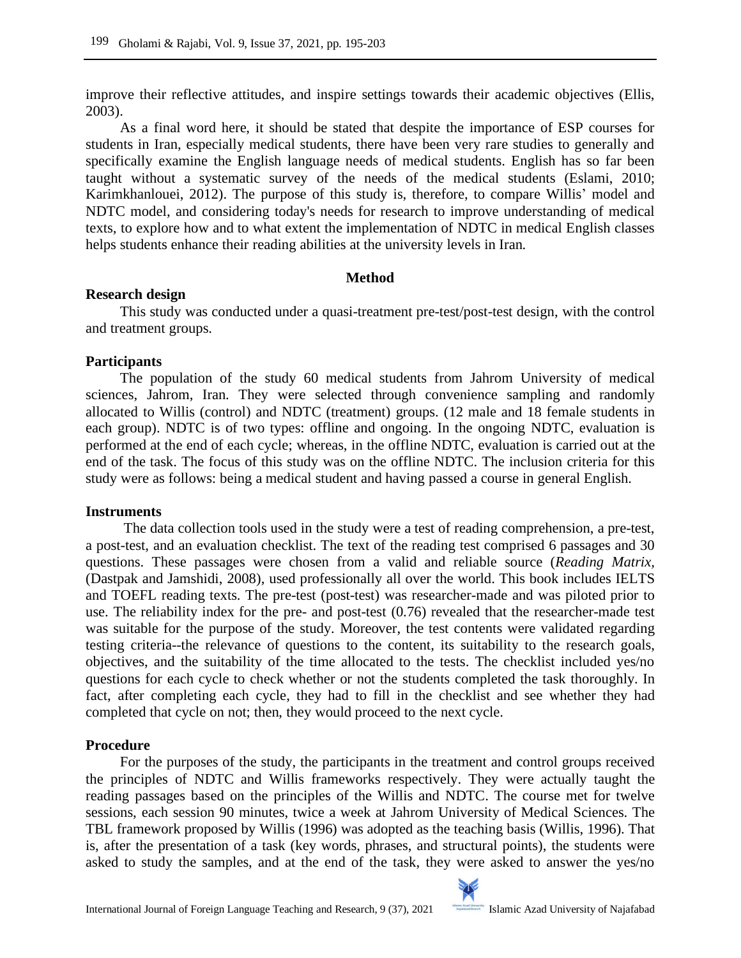improve their reflective attitudes, and inspire settings towards their academic objectives (Ellis, 2003).

As a final word here, it should be stated that despite the importance of ESP courses for students in Iran, especially medical students, there have been very rare studies to generally and specifically examine the English language needs of medical students. English has so far been taught without a systematic survey of the needs of the medical students (Eslami, 2010; Karimkhanlouei, 2012). The purpose of this study is, therefore, to compare Willis' model and NDTC model, and considering today's needs for research to improve understanding of medical texts, to explore how and to what extent the implementation of NDTC in medical English classes helps students enhance their reading abilities at the university levels in Iran.

## **Method**

## **Research design**

This study was conducted under a quasi-treatment pre-test/post-test design, with the control and treatment groups.

## **Participants**

The population of the study 60 medical students from Jahrom University of medical sciences, Jahrom, Iran. They were selected through convenience sampling and randomly allocated to Willis (control) and NDTC (treatment) groups. (12 male and 18 female students in each group). NDTC is of two types: offline and ongoing. In the ongoing NDTC, evaluation is performed at the end of each cycle; whereas, in the offline NDTC, evaluation is carried out at the end of the task. The focus of this study was on the offline NDTC. The inclusion criteria for this study were as follows: being a medical student and having passed a course in general English.

## **Instruments**

The data collection tools used in the study were a test of reading comprehension, a pre-test, a post-test, and an evaluation checklist. The text of the reading test comprised 6 passages and 30 questions. These passages were chosen from a valid and reliable source (*Reading Matrix,* (Dastpak and Jamshidi, 2008), used professionally all over the world. This book includes IELTS and TOEFL reading texts. The pre-test (post-test) was researcher-made and was piloted prior to use. The reliability index for the pre- and post-test (0.76) revealed that the researcher-made test was suitable for the purpose of the study. Moreover, the test contents were validated regarding testing criteria--the relevance of questions to the content, its suitability to the research goals, objectives, and the suitability of the time allocated to the tests. The checklist included yes/no questions for each cycle to check whether or not the students completed the task thoroughly. In fact, after completing each cycle, they had to fill in the checklist and see whether they had completed that cycle on not; then, they would proceed to the next cycle.

## **Procedure**

For the purposes of the study, the participants in the treatment and control groups received the principles of NDTC and Willis frameworks respectively. They were actually taught the reading passages based on the principles of the Willis and NDTC. The course met for twelve sessions, each session 90 minutes, twice a week at Jahrom University of Medical Sciences. The TBL framework proposed by Willis (1996) was adopted as the teaching basis (Willis, 1996). That is, after the presentation of a task (key words, phrases, and structural points), the students were asked to study the samples, and at the end of the task, they were asked to answer the yes/no

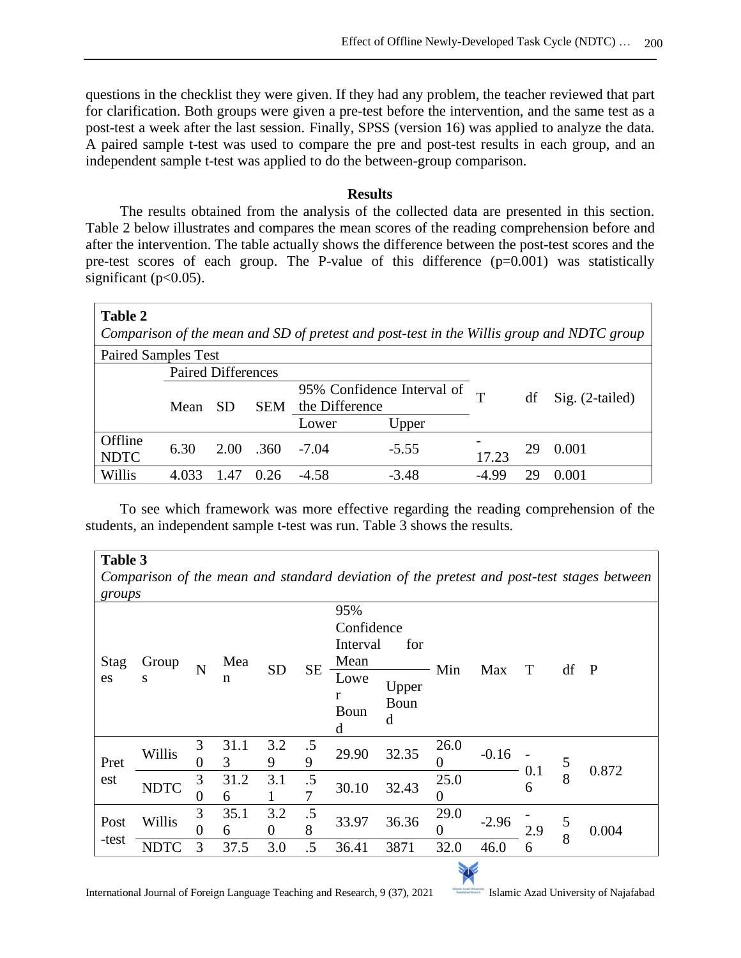questions in the checklist they were given. If they had any problem, the teacher reviewed that part for clarification. Both groups were given a pre-test before the intervention, and the same test as a post-test a week after the last session. Finally, SPSS (version 16) was applied to analyze the data. A paired sample t-test was used to compare the pre and post-test results in each group, and an independent sample t-test was applied to do the between-group comparison.

#### **Results**

The results obtained from the analysis of the collected data are presented in this section. Table 2 below illustrates and compares the mean scores of the reading comprehension before and after the intervention. The table actually shows the difference between the post-test scores and the pre-test scores of each group. The P-value of this difference (p=0.001) was statistically significant ( $p<0.05$ ).

| <b>Table 2</b><br>Comparison of the mean and SD of pretest and post-test in the Willis group and NDTC group |                           |           |                       |                |                            |       |     |                 |  |
|-------------------------------------------------------------------------------------------------------------|---------------------------|-----------|-----------------------|----------------|----------------------------|-------|-----|-----------------|--|
| <b>Paired Samples Test</b>                                                                                  |                           |           |                       |                |                            |       |     |                 |  |
|                                                                                                             | <b>Paired Differences</b> |           |                       |                |                            |       |     |                 |  |
|                                                                                                             |                           |           |                       |                | 95% Confidence Interval of |       | df  | Sig. (2-tailed) |  |
|                                                                                                             | Mean                      | <b>SD</b> | <b>SEM</b>            | the Difference |                            |       |     |                 |  |
|                                                                                                             |                           |           |                       | Lower<br>Upper |                            |       |     |                 |  |
| Offline<br><b>NDTC</b>                                                                                      | 6.30                      |           | $2.00$ $.360$ $-7.04$ | $-5.55$        |                            | 17.23 | 29. | 0.001           |  |
| Willis                                                                                                      |                           |           | 0.26                  | $-4.58$        | $-3.48$                    | -4.99 | 29  | 0.001           |  |

To see which framework was more effective regarding the reading comprehension of the students, an independent sample t-test was run. Table 3 shows the results.

#### **Table 3**

*Comparison of the mean and standard deviation of the pretest and post-test stages between groups*

| $8100 \mu s$ |             |                |           |                 |           |                                              |                    |                  |         |          |        |              |
|--------------|-------------|----------------|-----------|-----------------|-----------|----------------------------------------------|--------------------|------------------|---------|----------|--------|--------------|
| Stag         | Group       |                | Mea       |                 |           | 95%<br>Confidence<br>Interval<br>for<br>Mean |                    |                  |         |          |        |              |
| es           | S           | $\overline{N}$ | n         | <b>SD</b>       | <b>SE</b> | Lowe<br>r<br>Boun<br>d                       | Upper<br>Boun<br>d | Min              | Max     | T        | df     | $\mathbf{P}$ |
| Pret         | Willis      | 3<br>0         | 31.1<br>3 | 3.2<br>9        | .5<br>9   | 29.90                                        | 32.35              | 26.0<br>0        | $-0.16$ |          | 5      |              |
| est          | <b>NDTC</b> | 3<br>0         | 31.2<br>6 | 3.1             | .5<br>7   | 30.10                                        | 32.43              | 25.0<br>$\theta$ |         | 0.1<br>6 | 8      | 0.872        |
| Post         | Willis      | 3<br>0         | 35.1<br>6 | 3.2<br>$\Omega$ | .5<br>8   | 33.97                                        | 36.36              | 29.0<br>$\theta$ | $-2.96$ | 2.9      | 5<br>8 | 0.004        |
| -test        | NDTC        | 3              | 37.5      | 3.0             | .5        | 36.41                                        | 3871               | 32.0             | 46.0    | 6        |        |              |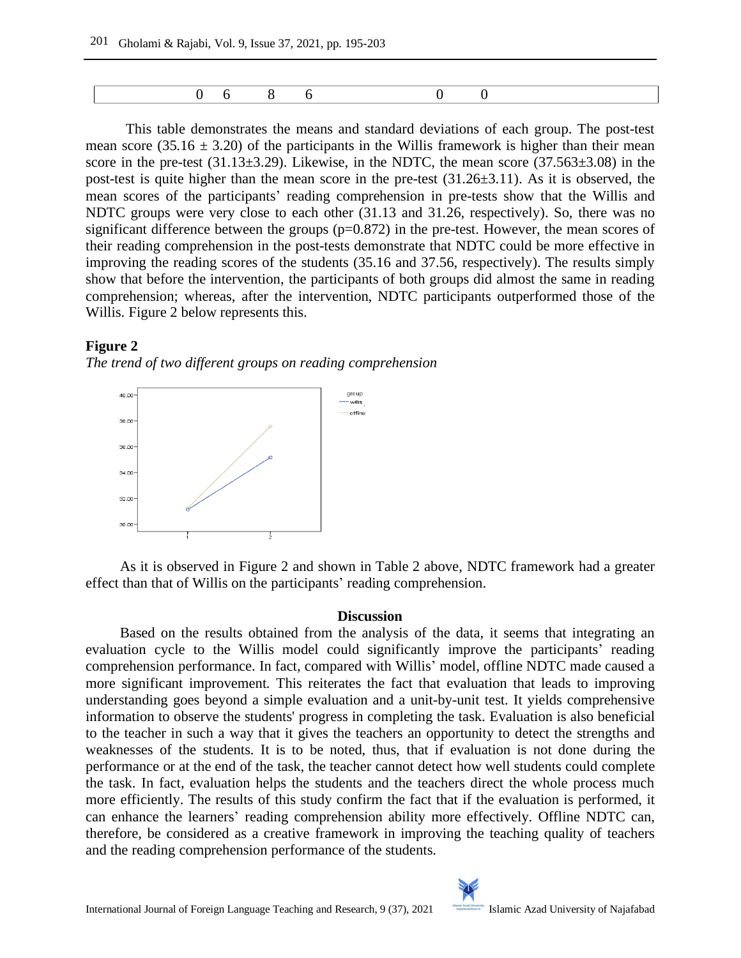This table demonstrates the means and standard deviations of each group. The post-test mean score (35.16  $\pm$  3.20) of the participants in the Willis framework is higher than their mean score in the pre-test  $(31.13\pm3.29)$ . Likewise, in the NDTC, the mean score  $(37.563\pm3.08)$  in the post-test is quite higher than the mean score in the pre-test (31.26±3.11). As it is observed, the mean scores of the participants' reading comprehension in pre-tests show that the Willis and NDTC groups were very close to each other (31.13 and 31.26, respectively). So, there was no significant difference between the groups  $(p=0.872)$  in the pre-test. However, the mean scores of their reading comprehension in the post-tests demonstrate that NDTC could be more effective in improving the reading scores of the students (35.16 and 37.56, respectively). The results simply show that before the intervention, the participants of both groups did almost the same in reading comprehension; whereas, after the intervention, NDTC participants outperformed those of the Willis. Figure 2 below represents this.

#### **Figure 2**

*The trend of two different groups on reading comprehension*



As it is observed in Figure 2 and shown in Table 2 above, NDTC framework had a greater effect than that of Willis on the participants' reading comprehension.

#### **Discussion**

Based on the results obtained from the analysis of the data, it seems that integrating an evaluation cycle to the Willis model could significantly improve the participants' reading comprehension performance. In fact, compared with Willis' model, offline NDTC made caused a more significant improvement. This reiterates the fact that evaluation that leads to improving understanding goes beyond a simple evaluation and a unit-by-unit test. It yields comprehensive information to observe the students' progress in completing the task. Evaluation is also beneficial to the teacher in such a way that it gives the teachers an opportunity to detect the strengths and weaknesses of the students. It is to be noted, thus, that if evaluation is not done during the performance or at the end of the task, the teacher cannot detect how well students could complete the task. In fact, evaluation helps the students and the teachers direct the whole process much more efficiently. The results of this study confirm the fact that if the evaluation is performed, it can enhance the learners' reading comprehension ability more effectively. Offline NDTC can, therefore, be considered as a creative framework in improving the teaching quality of teachers and the reading comprehension performance of the students.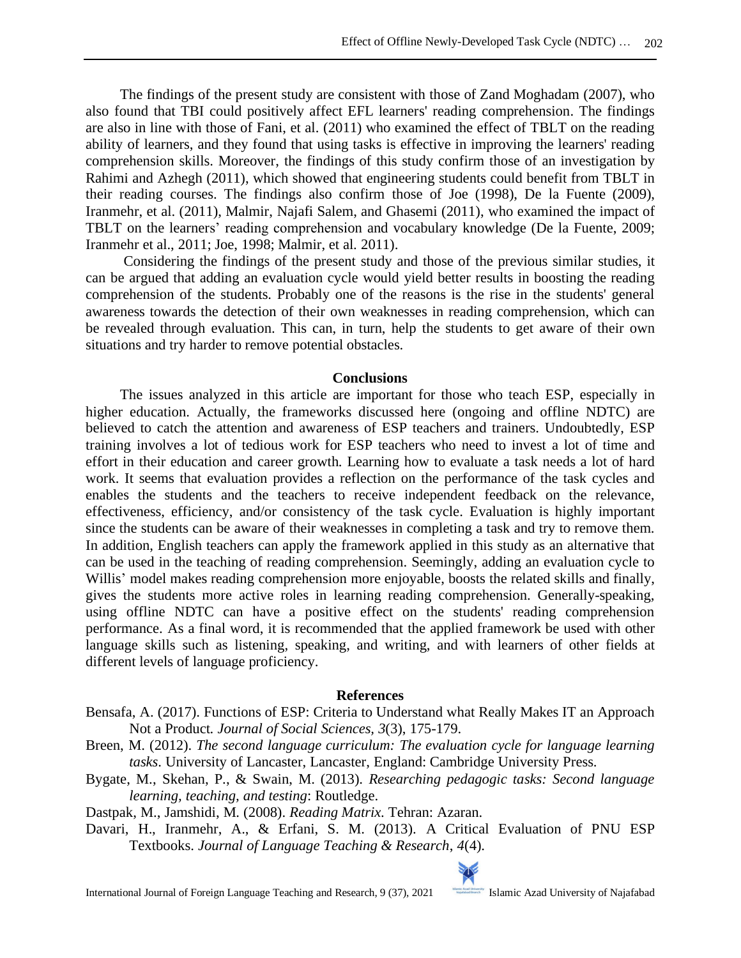The findings of the present study are consistent with those of Zand Moghadam (2007), who also found that TBI could positively affect EFL learners' reading comprehension. The findings are also in line with those of Fani, et al. (2011) who examined the effect of TBLT on the reading ability of learners, and they found that using tasks is effective in improving the learners' reading comprehension skills. Moreover, the findings of this study confirm those of an investigation by Rahimi and Azhegh (2011), which showed that engineering students could benefit from TBLT in their reading courses. The findings also confirm those of Joe (1998), De la Fuente (2009), Iranmehr, et al. (2011), Malmir, Najafi Salem, and Ghasemi (2011), who examined the impact of TBLT on the learners' reading comprehension and vocabulary knowledge (De la Fuente, 2009; Iranmehr et al., 2011; Joe, 1998; Malmir, et al. 2011).

Considering the findings of the present study and those of the previous similar studies, it can be argued that adding an evaluation cycle would yield better results in boosting the reading comprehension of the students. Probably one of the reasons is the rise in the students' general awareness towards the detection of their own weaknesses in reading comprehension, which can be revealed through evaluation. This can, in turn, help the students to get aware of their own situations and try harder to remove potential obstacles.

#### **Conclusions**

The issues analyzed in this article are important for those who teach ESP, especially in higher education. Actually, the frameworks discussed here (ongoing and offline NDTC) are believed to catch the attention and awareness of ESP teachers and trainers. Undoubtedly, ESP training involves a lot of tedious work for ESP teachers who need to invest a lot of time and effort in their education and career growth. Learning how to evaluate a task needs a lot of hard work. It seems that evaluation provides a reflection on the performance of the task cycles and enables the students and the teachers to receive independent feedback on the relevance, effectiveness, efficiency, and/or consistency of the task cycle. Evaluation is highly important since the students can be aware of their weaknesses in completing a task and try to remove them. In addition, English teachers can apply the framework applied in this study as an alternative that can be used in the teaching of reading comprehension. Seemingly, adding an evaluation cycle to Willis' model makes reading comprehension more enjoyable, boosts the related skills and finally, gives the students more active roles in learning reading comprehension. Generally-speaking, using offline NDTC can have a positive effect on the students' reading comprehension performance. As a final word, it is recommended that the applied framework be used with other language skills such as listening, speaking, and writing, and with learners of other fields at different levels of language proficiency.

#### **References**

- Bensafa, A. (2017). Functions of ESP: Criteria to Understand what Really Makes IT an Approach Not a Product. *Journal of Social Sciences, 3*(3), 175-179.
- Breen, M. (2012). *The second language curriculum: The evaluation cycle for language learning tasks*. University of Lancaster, Lancaster, England: Cambridge University Press.
- Bygate, M., Skehan, P., & Swain, M. (2013). *Researching pedagogic tasks: Second language learning, teaching, and testing*: Routledge.
- Dastpak, M., Jamshidi, M. (2008). *Reading Matrix*. Tehran: Azaran.
- Davari, H., Iranmehr, A., & Erfani, S. M. (2013). A Critical Evaluation of PNU ESP Textbooks. *Journal of Language Teaching & Research*, *4*(4).